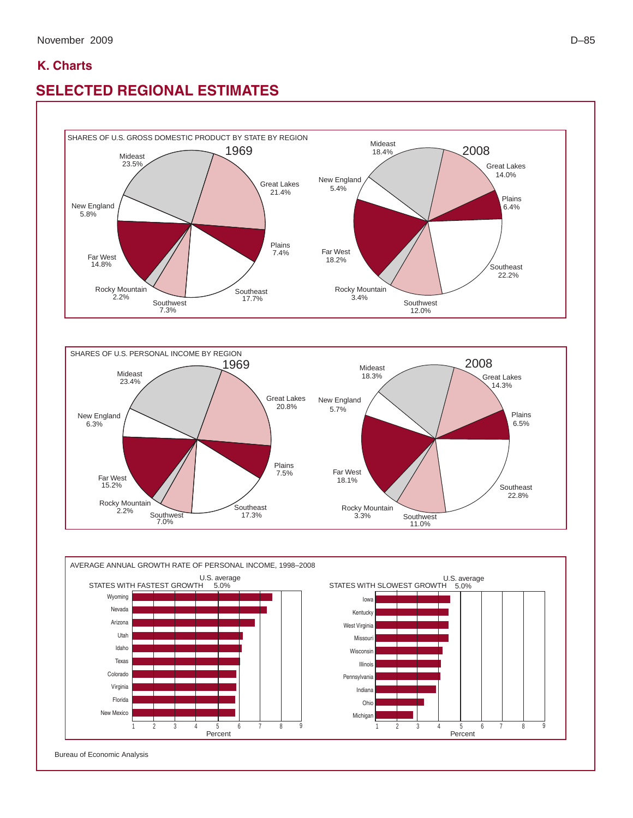## **K. Charts**

## **SELECTED REGIONAL ESTIMATES**







Bureau of Economic Analysis